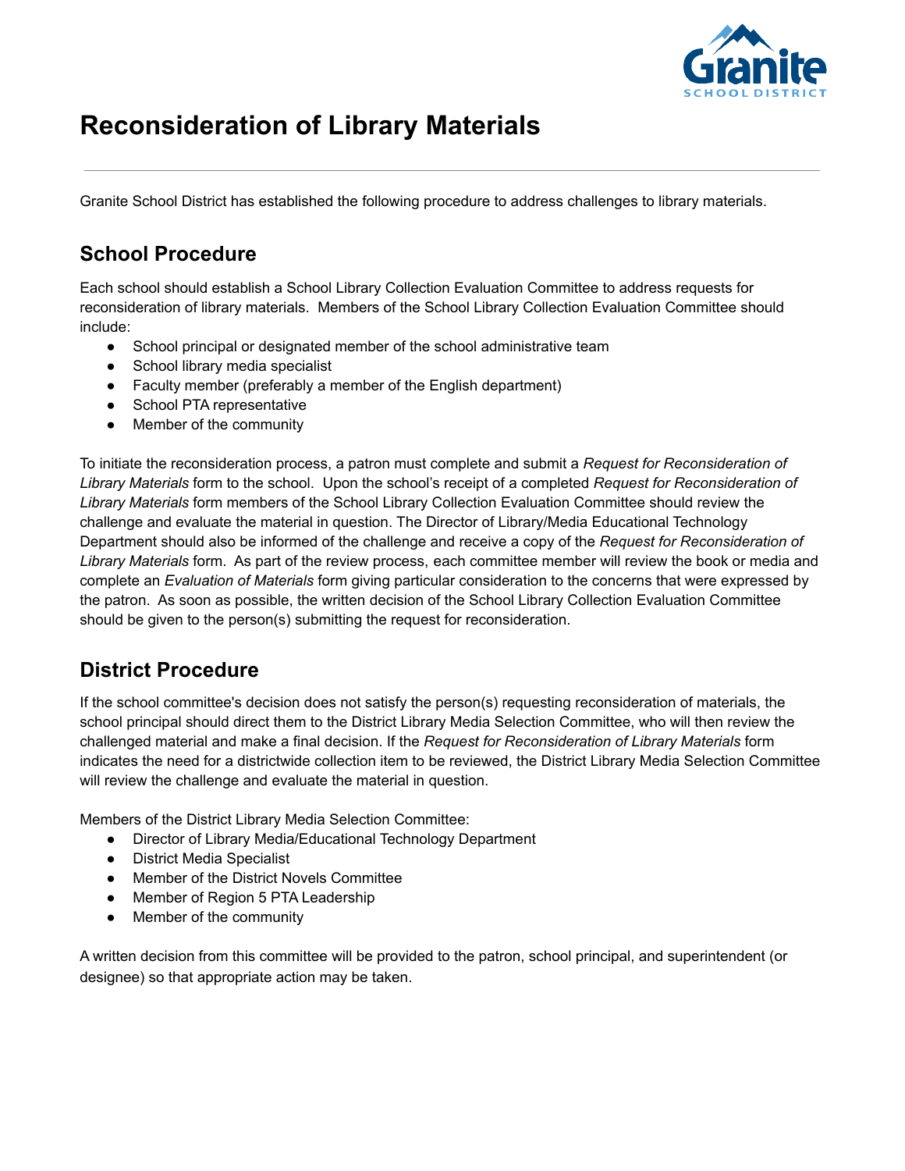

## **Reconsideration of Library Materials**

Granite School District has established the following procedure to address challenges to library materials.

#### **School Procedure**

Each school should establish a School Library Collection Evaluation Committee to address requests for reconsideration of library materials. Members of the School Library Collection Evaluation Committee should include:

- School principal or designated member of the school administrative team
- School library media specialist
- Faculty member (preferably a member of the English department)
- School PTA representative
- Member of the community

To initiate the reconsideration process, a patron must complete and submit a *Request for Reconsideration of Library Materials* form to the school. Upon the school's receipt of a completed *Request for Reconsideration of Library Materials* form members of the School Library Collection Evaluation Committee should review the challenge and evaluate the material in question. The Director of Library/Media Educational Technology Department should also be informed of the challenge and receive a copy of the *Request for Reconsideration of Library Materials* form. As part of the review process, each committee member will review the book or media and complete an *Evaluation of Materials* form giving particular consideration to the concerns that were expressed by the patron. As soon as possible, the written decision of the School Library Collection Evaluation Committee should be given to the person(s) submitting the request for reconsideration.

#### **District Procedure**

If the school committee's decision does not satisfy the person(s) requesting reconsideration of materials, the school principal should direct them to the District Library Media Selection Committee, who will then review the challenged material and make a final decision. If the *Request for Reconsideration of Library Materials* form indicates the need for a districtwide collection item to be reviewed, the District Library Media Selection Committee will review the challenge and evaluate the material in question.

Members of the District Library Media Selection Committee:

- Director of Library Media/Educational Technology Department
- District Media Specialist
- Member of the District Novels Committee
- Member of Region 5 PTA Leadership
- Member of the community

A written decision from this committee will be provided to the patron, school principal, and superintendent (or designee) so that appropriate action may be taken.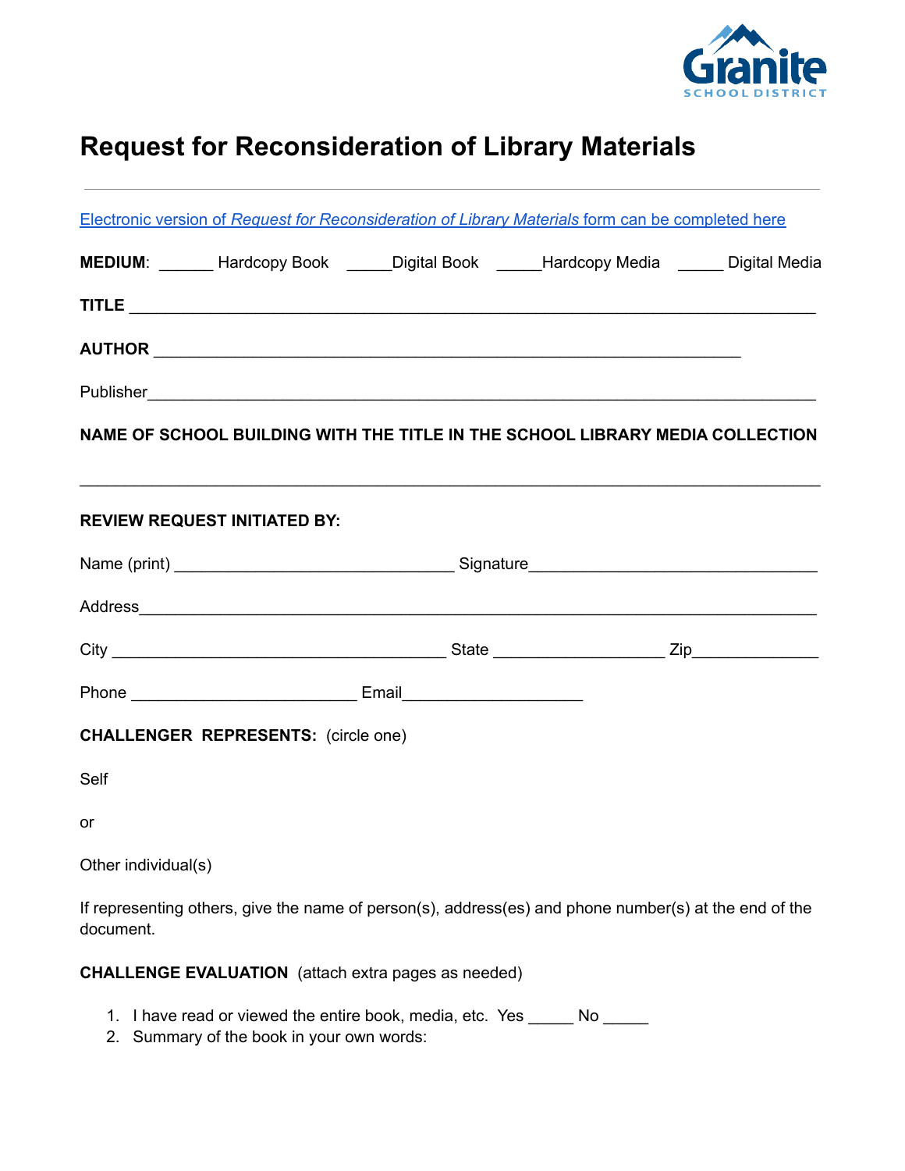

# **Request for Reconsideration of Library Materials**

|                     |                                                            |  | Electronic version of Request for Reconsideration of Library Materials form can be completed here                                                                                                                              |  |  |  |
|---------------------|------------------------------------------------------------|--|--------------------------------------------------------------------------------------------------------------------------------------------------------------------------------------------------------------------------------|--|--|--|
|                     |                                                            |  | MEDIUM: ______ Hardcopy Book _____Digital Book _____Hardcopy Media _____ Digital Media                                                                                                                                         |  |  |  |
|                     |                                                            |  |                                                                                                                                                                                                                                |  |  |  |
|                     |                                                            |  |                                                                                                                                                                                                                                |  |  |  |
|                     |                                                            |  |                                                                                                                                                                                                                                |  |  |  |
|                     |                                                            |  | NAME OF SCHOOL BUILDING WITH THE TITLE IN THE SCHOOL LIBRARY MEDIA COLLECTION                                                                                                                                                  |  |  |  |
|                     |                                                            |  |                                                                                                                                                                                                                                |  |  |  |
|                     | <b>REVIEW REQUEST INITIATED BY:</b>                        |  |                                                                                                                                                                                                                                |  |  |  |
|                     |                                                            |  |                                                                                                                                                                                                                                |  |  |  |
|                     |                                                            |  | Address experience and the contract of the contract of the contract of the contract of the contract of the contract of the contract of the contract of the contract of the contract of the contract of the contract of the con |  |  |  |
|                     |                                                            |  |                                                                                                                                                                                                                                |  |  |  |
|                     |                                                            |  |                                                                                                                                                                                                                                |  |  |  |
|                     | <b>CHALLENGER REPRESENTS:</b> (circle one)                 |  |                                                                                                                                                                                                                                |  |  |  |
| Self                |                                                            |  |                                                                                                                                                                                                                                |  |  |  |
| <b>or</b>           |                                                            |  |                                                                                                                                                                                                                                |  |  |  |
| Other individual(s) |                                                            |  |                                                                                                                                                                                                                                |  |  |  |
| document.           |                                                            |  | If representing others, give the name of person(s), address(es) and phone number(s) at the end of the                                                                                                                          |  |  |  |
|                     | <b>CHALLENGE EVALUATION</b> (attach extra pages as needed) |  |                                                                                                                                                                                                                                |  |  |  |
|                     | 1. I have read or viewed the entire book, media, etc. Yes  |  | No                                                                                                                                                                                                                             |  |  |  |

2. Summary of the book in your own words: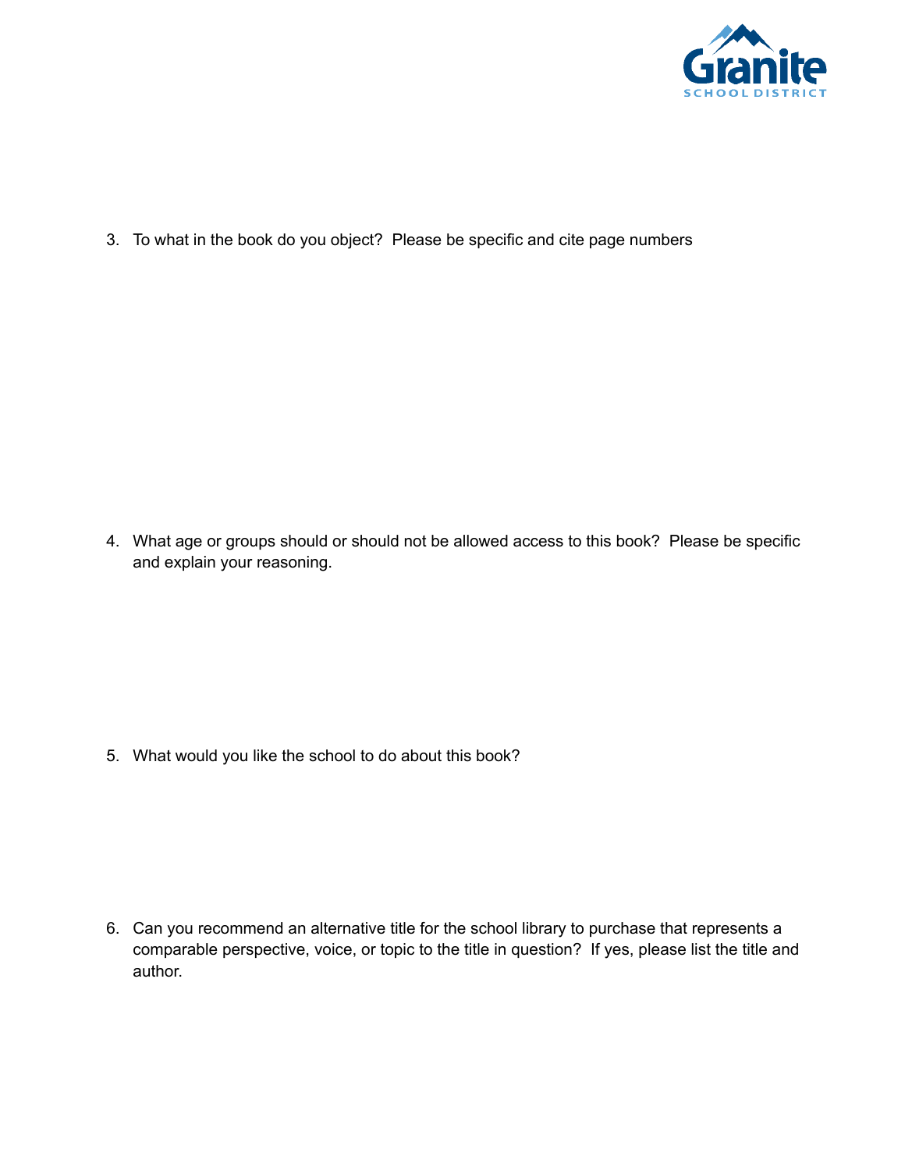

3. To what in the book do you object? Please be specific and cite page numbers

4. What age or groups should or should not be allowed access to this book? Please be specific and explain your reasoning.

5. What would you like the school to do about this book?

6. Can you recommend an alternative title for the school library to purchase that represents a comparable perspective, voice, or topic to the title in question? If yes, please list the title and author.